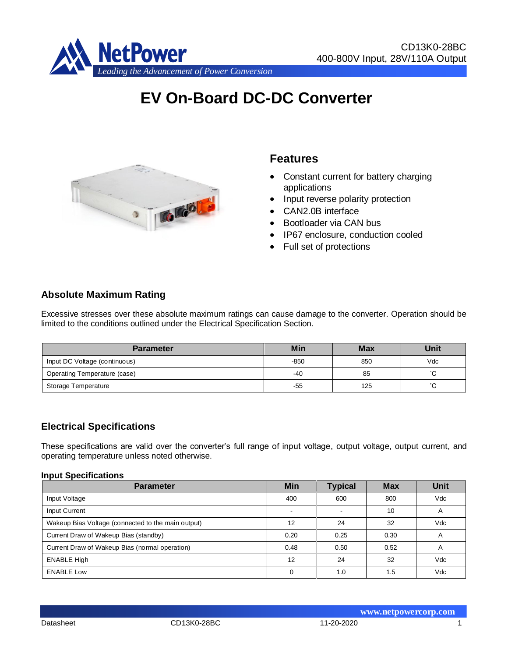

# **EV On-Board DC-DC Converter**



# **Features**

- Constant current for battery charging applications
- Input reverse polarity protection
- CAN2.0B interface
- Bootloader via CAN bus
- IP67 enclosure, conduction cooled
- Full set of protections

## **Absolute Maximum Rating**

Excessive stresses over these absolute maximum ratings can cause damage to the converter. Operation should be limited to the conditions outlined under the Electrical Specification Section.

| <b>Parameter</b>              | Min    | <b>Max</b> | <b>Unit</b>         |
|-------------------------------|--------|------------|---------------------|
| Input DC Voltage (continuous) | $-850$ | 850        | Vdc                 |
| Operating Temperature (case)  | -40    | 85         | $\hat{\phantom{a}}$ |
| Storage Temperature           | -55    | 125        |                     |

#### **Electrical Specifications**

These specifications are valid over the converter's full range of input voltage, output voltage, output current, and operating temperature unless noted otherwise.

#### **Input Specifications**

| <b>Parameter</b>                                   | <b>Min</b> | <b>Typical</b>           | <b>Max</b> | <b>Unit</b> |
|----------------------------------------------------|------------|--------------------------|------------|-------------|
| Input Voltage                                      | 400        | 600                      | 800        | Vdc         |
| Input Current                                      |            | $\overline{\phantom{a}}$ | 10         | A           |
| Wakeup Bias Voltage (connected to the main output) | 12         | 24                       | 32         | Vdc         |
| Current Draw of Wakeup Bias (standby)              | 0.20       | 0.25                     | 0.30       | A           |
| Current Draw of Wakeup Bias (normal operation)     | 0.48       | 0.50                     | 0.52       | A           |
| <b>ENABLE High</b>                                 | 12         | 24                       | 32         | Vdc         |
| <b>ENABLE Low</b>                                  | 0          | 1.0                      | 1.5        | Vdc         |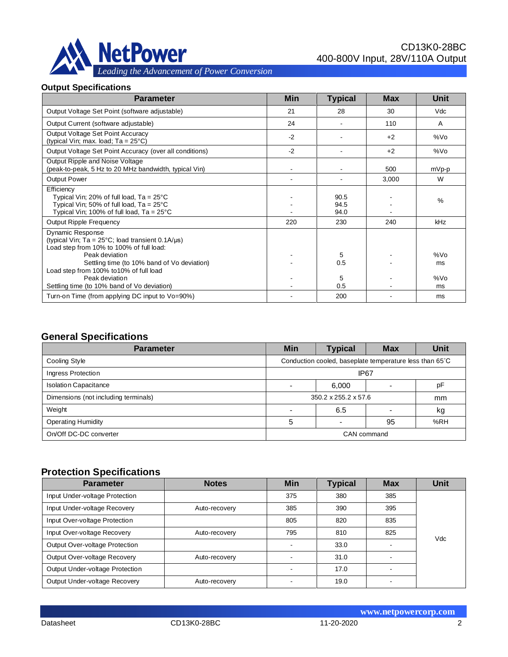

#### **Output Specifications**

| <b>Parameter</b>                                                                                                                                                           | <b>Min</b> | <b>Typical</b>       | <b>Max</b> | <b>Unit</b> |
|----------------------------------------------------------------------------------------------------------------------------------------------------------------------------|------------|----------------------|------------|-------------|
| Output Voltage Set Point (software adjustable)                                                                                                                             | 21         | 28                   | 30         | Vdc         |
| Output Current (software adjustable)                                                                                                                                       | 24         |                      | 110        | A           |
| Output Voltage Set Point Accuracy<br>(typical Vin; max. load; $Ta = 25^{\circ}C$ )                                                                                         | $-2$       |                      | $+2$       | %Vo         |
| Output Voltage Set Point Accuracy (over all conditions)                                                                                                                    | $-2$       |                      | $+2$       | %Vo         |
| Output Ripple and Noise Voltage<br>(peak-to-peak, 5 Hz to 20 MHz bandwidth, typical Vin)                                                                                   |            |                      | 500        | mVp-p       |
| Output Power                                                                                                                                                               |            |                      | 3,000      | W           |
| Efficiency<br>Typical Vin; 20% of full load, $Ta = 25^{\circ}C$<br>Typical Vin; 50% of full load, $Ta = 25^{\circ}C$<br>Typical Vin; 100% of full load, $Ta = 25^{\circ}C$ |            | 90.5<br>94.5<br>94.0 |            | %           |
| Output Ripple Frequency                                                                                                                                                    | 220        | 230                  | 240        | kHz         |
| Dynamic Response<br>(typical Vin; Ta = $25^{\circ}$ C; load transient 0.1A/ $\mu$ s)<br>Load step from 10% to 100% of full load:<br>Peak deviation                         |            | 5                    |            | %Vo         |
| Settling time (to 10% band of Vo deviation)                                                                                                                                |            | 0.5                  |            | ms          |
| Load step from 100% to 10% of full load<br>Peak deviation<br>Settling time (to 10% band of Vo deviation)                                                                   |            | 5<br>0.5             |            | %Vo<br>ms   |
| Turn-on Time (from applying DC input to Vo=90%)                                                                                                                            |            | 200                  |            | ms          |

## **General Specifications**

| <b>Parameter</b>                     | Min                                                     | <b>Typical</b> | <b>Max</b>  | Unit |
|--------------------------------------|---------------------------------------------------------|----------------|-------------|------|
| Cooling Style                        | Conduction cooled, baseplate temperature less than 65°C |                |             |      |
| Ingress Protection                   | IP <sub>67</sub>                                        |                |             |      |
| <b>Isolation Capacitance</b>         |                                                         | 6.000          |             | pF   |
| Dimensions (not including terminals) | 350.2 x 255.2 x 57.6<br>mm                              |                |             |      |
| Weight                               | 6.5                                                     |                |             | kg   |
| <b>Operating Humidity</b>            | %RH<br>5<br>95                                          |                |             |      |
| On/Off DC-DC converter               |                                                         |                | CAN command |      |

#### **Protection Specifications**

| <b>Parameter</b>                              | <b>Notes</b>  | <b>Min</b> | <b>Typical</b> | <b>Max</b> | <b>Unit</b> |
|-----------------------------------------------|---------------|------------|----------------|------------|-------------|
| Input Under-voltage Protection                |               | 375        | 380            | 385        |             |
| Input Under-voltage Recovery                  | Auto-recovery | 385        | 390            | 395        |             |
| Input Over-voltage Protection                 |               | 805        | 820            | 835        |             |
| Input Over-voltage Recovery                   | Auto-recovery | 795        | 810            | 825        | Vdc         |
| Output Over-voltage Protection                |               |            | 33.0           |            |             |
| Output Over-voltage Recovery<br>Auto-recovery |               |            | 31.0           |            |             |
| Output Under-voltage Protection               |               |            | 17.0           |            |             |
| Output Under-voltage Recovery                 | Auto-recovery |            | 19.0           |            |             |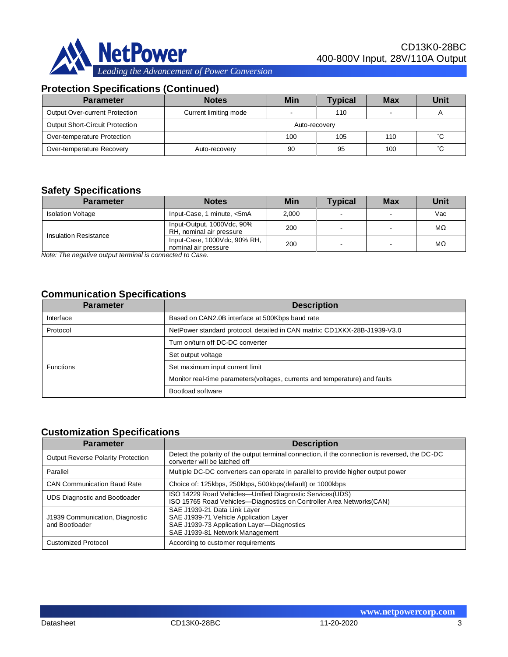

# **Protection Specifications (Continued)**

| <b>Parameter</b>                | <b>Notes</b>          | Min | <b>Typical</b> | <b>Max</b> | Unit |
|---------------------------------|-----------------------|-----|----------------|------------|------|
| Output Over-current Protection  | Current limiting mode |     | 110            |            |      |
| Output Short-Circuit Protection | Auto-recovery         |     |                |            |      |
| Over-temperature Protection     | 100                   | 105 | 110            | °С         |      |
| Over-temperature Recovery       | Auto-recovery         | 90  | 95             | 100        | °С   |

## **Safety Specifications**

| <b>Parameter</b>         | <b>Notes</b>                                           | Min   | <b>Typical</b> | <b>Max</b> | Unit |
|--------------------------|--------------------------------------------------------|-------|----------------|------------|------|
| <b>Isolation Voltage</b> | Input-Case, 1 minute, <5mA                             | 2.000 |                |            | Vac  |
| Insulation Resistance    | Input-Output, 1000Vdc, 90%<br>RH, nominal air pressure | 200   |                |            | MΩ   |
|                          | Input-Case, 1000Vdc, 90% RH,<br>nominal air pressure   | 200   |                |            | MΩ   |

*Note: The negative output terminal is connected to Case.*

# **Communication Specifications**

| <b>Parameter</b> | <b>Description</b>                                                           |
|------------------|------------------------------------------------------------------------------|
| Interface        | Based on CAN2.0B interface at 500Kbps baud rate                              |
| Protocol         | NetPower standard protocol, detailed in CAN matrix: CD1XKX-28B-J1939-V3.0    |
|                  | Turn on/turn off DC-DC converter                                             |
|                  | Set output voltage                                                           |
| <b>Functions</b> | Set maximum input current limit                                              |
|                  | Monitor real-time parameters (voltages, currents and temperature) and faults |
|                  | Bootload software                                                            |

#### **Customization Specifications**

| <b>Parameter</b>                                  | <b>Description</b>                                                                                                                                      |
|---------------------------------------------------|---------------------------------------------------------------------------------------------------------------------------------------------------------|
| Output Reverse Polarity Protection                | Detect the polarity of the output terminal connection, if the connection is reversed, the DC-DC<br>converter will be latched off                        |
| Parallel                                          | Multiple DC-DC converters can operate in parallel to provide higher output power                                                                        |
| <b>CAN Communication Baud Rate</b>                | Choice of: 125kbps, 250kbps, 500kbps(default) or 1000kbps                                                                                               |
| UDS Diagnostic and Bootloader                     | ISO 14229 Road Vehicles—Unified Diagnostic Services (UDS)<br>ISO 15765 Road Vehicles-Diagnostics on Controller Area Networks(CAN)                       |
| J1939 Communication, Diagnostic<br>and Bootloader | SAE J1939-21 Data Link Layer<br>SAE J1939-71 Vehicle Application Layer<br>SAE J1939-73 Application Layer-Diagnostics<br>SAE J1939-81 Network Management |
| <b>Customized Protocol</b>                        | According to customer requirements                                                                                                                      |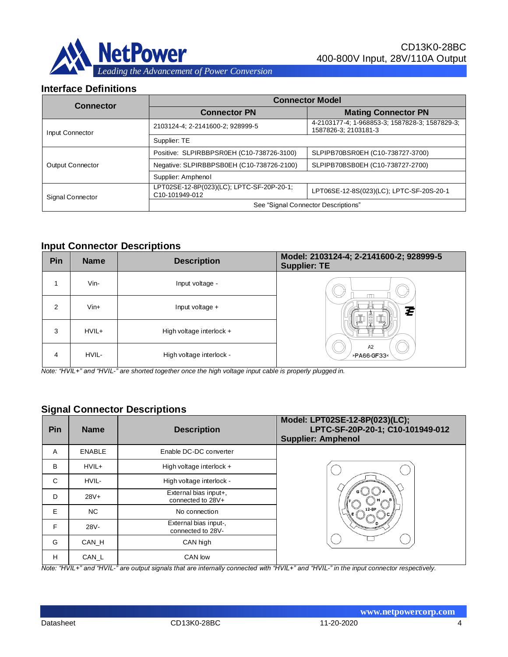

### **Interface Definitions**

| <b>Connector</b> | <b>Connector Model</b>                                      |                                                                        |  |  |  |
|------------------|-------------------------------------------------------------|------------------------------------------------------------------------|--|--|--|
|                  | <b>Connector PN</b>                                         | <b>Mating Connector PN</b>                                             |  |  |  |
| Input Connector  | 2103124-4; 2-2141600-2; 928999-5                            | 4-2103177-4; 1-968853-3; 1587828-3; 1587829-3;<br>1587826-3: 2103181-3 |  |  |  |
|                  | Supplier: TE                                                |                                                                        |  |  |  |
|                  | Positive: SLPIRBBPSR0EH (C10-738726-3100)                   | SLPIPB70BSR0EH (C10-738727-3700)                                       |  |  |  |
| Output Connector | Negative: SLPIRBBPSB0EH (C10-738726-2100)                   | SLPIPB70BSB0EH (C10-738727-2700)                                       |  |  |  |
|                  | Supplier: Amphenol                                          |                                                                        |  |  |  |
| Signal Connector | LPT02SE-12-8P(023)(LC); LPTC-SF-20P-20-1;<br>C10-101949-012 | LPT06SE-12-8S(023)(LC); LPTC-SF-20S-20-1                               |  |  |  |
|                  | See "Signal Connector Descriptions"                         |                                                                        |  |  |  |

#### **Input Connector Descriptions**

| Pin | <b>Name</b> | <b>Description</b>         | Model: 2103124-4; 2-2141600-2; 928999-5<br><b>Supplier: TE</b> |
|-----|-------------|----------------------------|----------------------------------------------------------------|
|     | Vin-        | Input voltage -            |                                                                |
| 2   | $V$ in+     | Input voltage $+$          | Z                                                              |
| 3   | HVIL+       | High voltage interlock $+$ |                                                                |
| 4   | HVIL-       | High voltage interlock -   | A2<br>>PA66-GF33<                                              |

*Note: "HVIL+" and "HVIL-" are shorted together once the high voltage input cable is properly plugged in.*

## **Signal Connector Descriptions**

| Pin | <b>Name</b>   | <b>Description</b>                         | Model: LPT02SE-12-8P(023)(LC);<br>LPTC-SF-20P-20-1; C10-101949-012<br><b>Supplier: Amphenol</b> |
|-----|---------------|--------------------------------------------|-------------------------------------------------------------------------------------------------|
| A   | <b>ENABLE</b> | Enable DC-DC converter                     |                                                                                                 |
| B   | HVIL+         | High voltage interlock $+$                 |                                                                                                 |
| C   | HVIL-         | High voltage interlock -                   |                                                                                                 |
| D   | $28V +$       | External bias input+,<br>connected to 28V+ |                                                                                                 |
| E   | NC.           | No connection                              |                                                                                                 |
| F   | 28V-          | External bias input-,<br>connected to 28V- |                                                                                                 |
| G   | CAN H         | CAN high                                   |                                                                                                 |
| н   | CAN_L         | CAN low                                    |                                                                                                 |

*Note: "HVIL+" and "HVIL-" are output signals that are internally connected with "HVIL+" and "HVIL-" in the input connector respectively.*